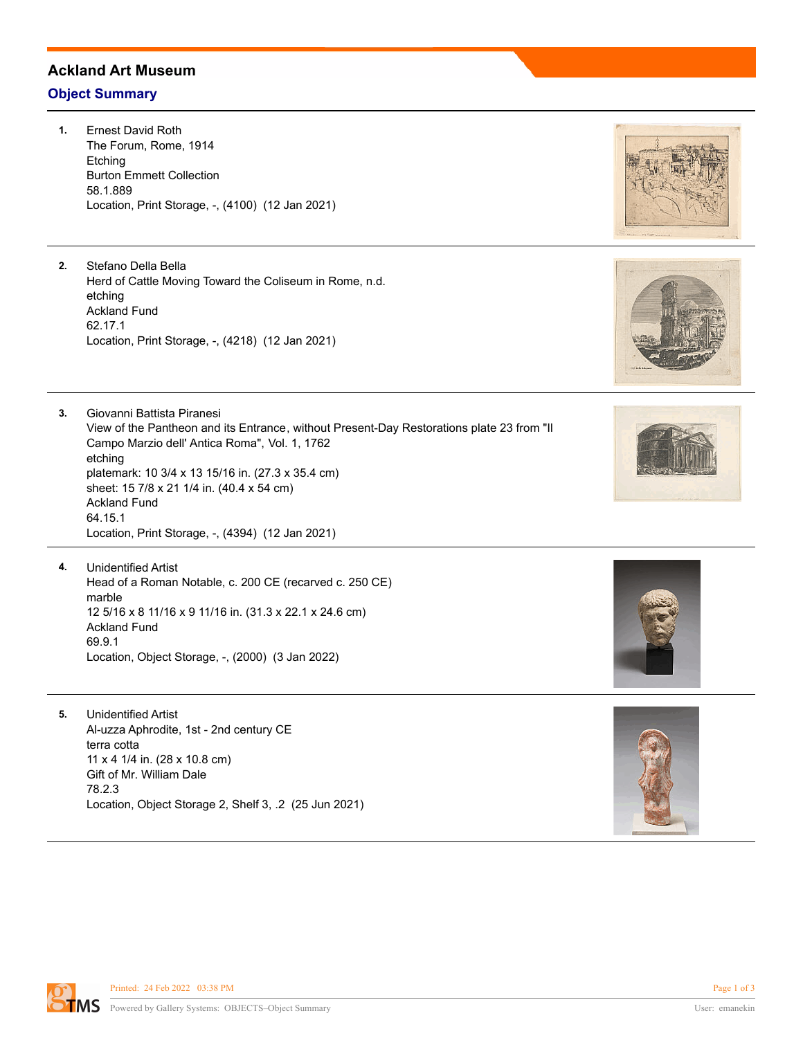## **Ackland Art Museum**

## **Object Summary**

**1.** Ernest David Roth The Forum, Rome, 1914 Etching Burton Emmett Collection 58.1.889 Location, Print Storage, -, (4100) (12 Jan 2021)

**2.** Stefano Della Bella Herd of Cattle Moving Toward the Coliseum in Rome, n.d. etching Ackland Fund 62.17.1 Location, Print Storage, -, (4218) (12 Jan 2021)

**3.** Giovanni Battista Piranesi View of the Pantheon and its Entrance, without Present-Day Restorations plate 23 from "Il Campo Marzio dell' Antica Roma", Vol. 1, 1762 etching platemark: 10 3/4 x 13 15/16 in. (27.3 x 35.4 cm) sheet: 15 7/8 x 21 1/4 in. (40.4 x 54 cm) Ackland Fund 64.15.1 Location, Print Storage, -, (4394) (12 Jan 2021)

- **4.** Unidentified Artist Head of a Roman Notable, c. 200 CE (recarved c. 250 CE) marble 12 5/16 x 8 11/16 x 9 11/16 in. (31.3 x 22.1 x 24.6 cm) Ackland Fund 69.9.1 Location, Object Storage, -, (2000) (3 Jan 2022)
- **5.** Unidentified Artist Al-uzza Aphrodite, 1st - 2nd century CE terra cotta 11 x 4 1/4 in. (28 x 10.8 cm) Gift of Mr. William Dale 78.2.3 Location, Object Storage 2, Shelf 3, .2 (25 Jun 2021)









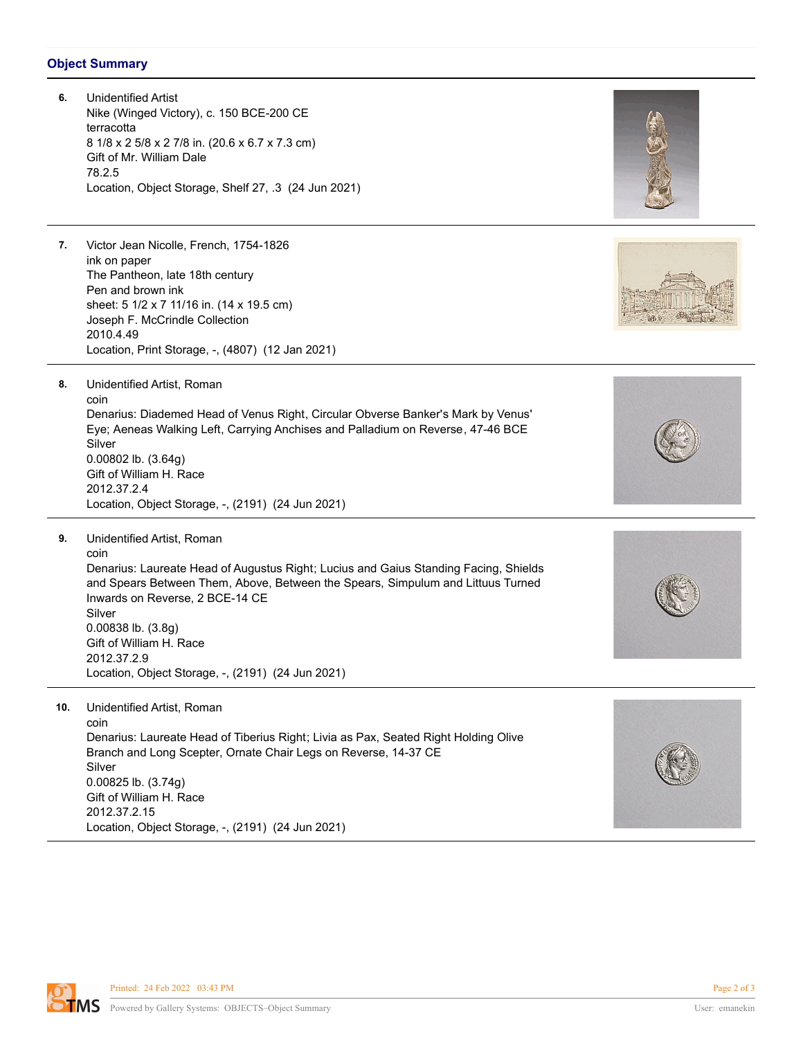## **Object Summary**

| 6.  | <b>Unidentified Artist</b><br>Nike (Winged Victory), c. 150 BCE-200 CE<br>terracotta<br>8 1/8 x 2 5/8 x 2 7/8 in. (20.6 x 6.7 x 7.3 cm)<br>Gift of Mr. William Dale<br>78.2.5<br>Location, Object Storage, Shelf 27, .3 (24 Jun 2021)                                                                                                                                               |  |
|-----|-------------------------------------------------------------------------------------------------------------------------------------------------------------------------------------------------------------------------------------------------------------------------------------------------------------------------------------------------------------------------------------|--|
| 7.  | Victor Jean Nicolle, French, 1754-1826<br>ink on paper<br>The Pantheon, late 18th century<br>Pen and brown ink<br>sheet: 5 1/2 x 7 11/16 in. (14 x 19.5 cm)<br>Joseph F. McCrindle Collection<br>2010.4.49<br>Location, Print Storage, -, (4807) (12 Jan 2021)                                                                                                                      |  |
| 8.  | Unidentified Artist, Roman<br>coin<br>Denarius: Diademed Head of Venus Right, Circular Obverse Banker's Mark by Venus'<br>Eye; Aeneas Walking Left, Carrying Anchises and Palladium on Reverse, 47-46 BCE<br>Silver<br>0.00802 lb. (3.64g)<br>Gift of William H. Race<br>2012.37.2.4<br>Location, Object Storage, -, (2191) (24 Jun 2021)                                           |  |
| 9.  | Unidentified Artist, Roman<br>coin<br>Denarius: Laureate Head of Augustus Right; Lucius and Gaius Standing Facing, Shields<br>and Spears Between Them, Above, Between the Spears, Simpulum and Littuus Turned<br>Inwards on Reverse, 2 BCE-14 CE<br>Silver<br>$0.00838$ lb. $(3.8g)$<br>Gift of William H. Race<br>2012.37.2.9<br>Location, Object Storage, -, (2191) (24 Jun 2021) |  |
| 10. | Unidentified Artist, Roman<br>coin<br>Denarius: Laureate Head of Tiberius Right; Livia as Pax, Seated Right Holding Olive<br>Branch and Long Scepter, Ornate Chair Legs on Reverse, 14-37 CE<br>Silver<br>0.00825 lb. (3.74g)<br>Gift of William H. Race<br>2012.37.2.15<br>Location, Object Storage, -, (2191) (24 Jun 2021)                                                       |  |